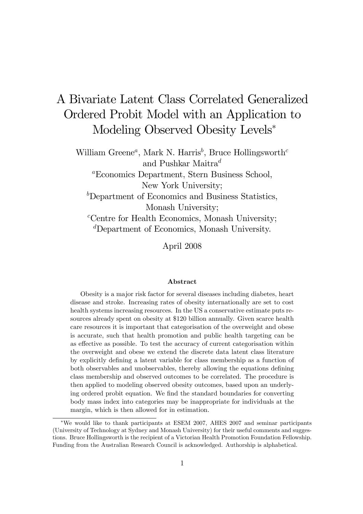# A Bivariate Latent Class Correlated Generalized Ordered Probit Model with an Application to Modeling Observed Obesity Levels\*

William Greene<sup>a</sup>, Mark N. Harris<sup>b</sup>, Bruce Hollingsworth<sup>c</sup> and Pushkar Maitra $^d$ 

<sup>a</sup>Economics Department, Stern Business School, New York University;

 $b$ Department of Economics and Business Statistics, Monash University;

 ${}^c$ Centre for Health Economics, Monash University; <sup>d</sup>Department of Economics, Monash University.

April 2008

#### Abstract

Obesity is a major risk factor for several diseases including diabetes, heart disease and stroke. Increasing rates of obesity internationally are set to cost health systems increasing resources. In the US a conservative estimate puts resources already spent on obesity at \$120 billion annually. Given scarce health care resources it is important that categorisation of the overweight and obese is accurate, such that health promotion and public health targeting can be as effective as possible. To test the accuracy of current categorisation within the overweight and obese we extend the discrete data latent class literature by explicitly deÖning a latent variable for class membership as a function of both observables and unobservables, thereby allowing the equations defining class membership and observed outcomes to be correlated. The procedure is then applied to modeling observed obesity outcomes, based upon an underlying ordered probit equation. We find the standard boundaries for converting body mass index into categories may be inappropriate for individuals at the margin, which is then allowed for in estimation.

We would like to thank participants at ESEM 2007, AHES 2007 and seminar participants (University of Technology at Sydney and Monash University) for their useful comments and suggestions. Bruce Hollingsworth is the recipient of a Victorian Health Promotion Foundation Fellowship. Funding from the Australian Research Council is acknowledged. Authorship is alphabetical.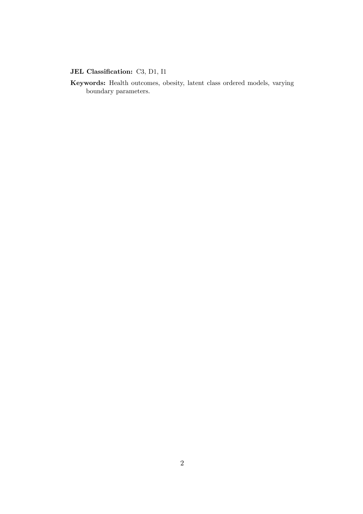### JEL Classification: C3, D1, I1

Keywords: Health outcomes, obesity, latent class ordered models, varying boundary parameters.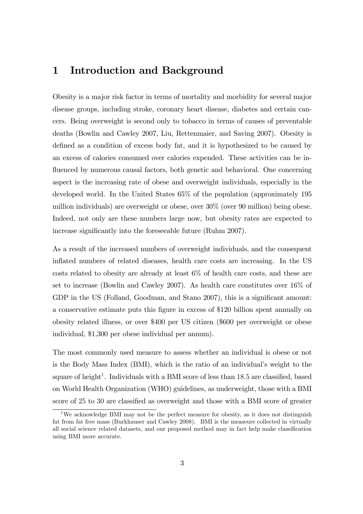## 1 Introduction and Background

Obesity is a major risk factor in terms of mortality and morbidity for several major disease groups, including stroke, coronary heart disease, diabetes and certain cancers. Being overweight is second only to tobacco in terms of causes of preventable deaths (Bowlin and Cawley 2007, Liu, Rettenmaier, and Saving 2007). Obesity is defined as a condition of excess body fat, and it is hypothesized to be caused by an excess of calories consumed over calories expended. These activities can be influenced by numerous causal factors, both genetic and behavioral. One concerning aspect is the increasing rate of obese and overweight individuals, especially in the developed world. In the United States 65% of the population (approximately 195 million individuals) are overweight or obese, over 30% (over 90 million) being obese. Indeed, not only are these numbers large now, but obesity rates are expected to increase significantly into the foreseeable future (Ruhm 2007).

As a result of the increased numbers of overweight individuals, and the consequent inflated numbers of related diseases, health care costs are increasing. In the US costs related to obesity are already at least 6% of health care costs, and these are set to increase (Bowlin and Cawley 2007). As health care constitutes over 16% of GDP in the US (Folland, Goodman, and Stano 2007), this is a significant amount: a conservative estimate puts this Ögure in excess of \$120 billion spent annually on obesity related illness, or over \$400 per US citizen (\$600 per overweight or obese individual, \$1,300 per obese individual per annum).

The most commonly used measure to assess whether an individual is obese or not is the Body Mass Index (BMI), which is the ratio of an individual's weight to the square of height<sup>1</sup>. Individuals with a BMI score of less than  $18.5$  are classified, based on World Health Organization (WHO) guidelines, as underweight, those with a BMI score of 25 to 30 are classified as overweight and those with a BMI score of greater

<sup>1</sup>We acknowledge BMI may not be the perfect measure for obesity, as it does not distinguish fat from fat free mass (Burkhauser and Cawley 2008). BMI is the measeure collected in virtually all social science related datasets, and our proposed method may in fact help make classification using BMI more accurate.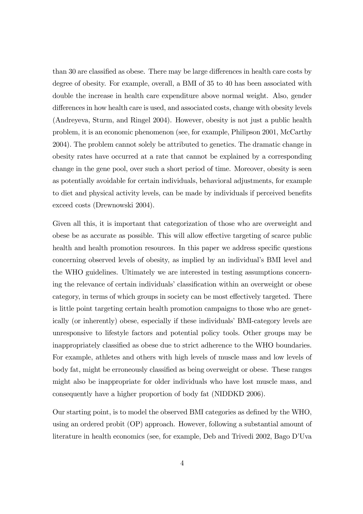than 30 are classified as obese. There may be large differences in health care costs by degree of obesity. For example, overall, a BMI of 35 to 40 has been associated with double the increase in health care expenditure above normal weight. Also, gender differences in how health care is used, and associated costs, change with obesity levels (Andreyeva, Sturm, and Ringel 2004). However, obesity is not just a public health problem, it is an economic phenomenon (see, for example, Philipson 2001, McCarthy 2004). The problem cannot solely be attributed to genetics. The dramatic change in obesity rates have occurred at a rate that cannot be explained by a corresponding change in the gene pool, over such a short period of time. Moreover, obesity is seen as potentially avoidable for certain individuals, behavioral adjustments, for example to diet and physical activity levels, can be made by individuals if perceived benefits exceed costs (Drewnowski 2004).

Given all this, it is important that categorization of those who are overweight and obese be as accurate as possible. This will allow effective targeting of scarce public health and health promotion resources. In this paper we address specific questions concerning observed levels of obesity, as implied by an individual's BMI level and the WHO guidelines. Ultimately we are interested in testing assumptions concerning the relevance of certain individuals' classification within an overweight or obese category, in terms of which groups in society can be most effectively targeted. There is little point targeting certain health promotion campaigns to those who are genetically (or inherently) obese, especially if these individuals BMI-category levels are unresponsive to lifestyle factors and potential policy tools. Other groups may be inappropriately classified as obese due to strict adherence to the WHO boundaries. For example, athletes and others with high levels of muscle mass and low levels of body fat, might be erroneously classified as being overweight or obese. These ranges might also be inappropriate for older individuals who have lost muscle mass, and consequently have a higher proportion of body fat (NIDDKD 2006).

Our starting point, is to model the observed BMI categories as defined by the WHO, using an ordered probit (OP) approach. However, following a substantial amount of literature in health economics (see, for example, Deb and Trivedi 2002, Bago D'Uva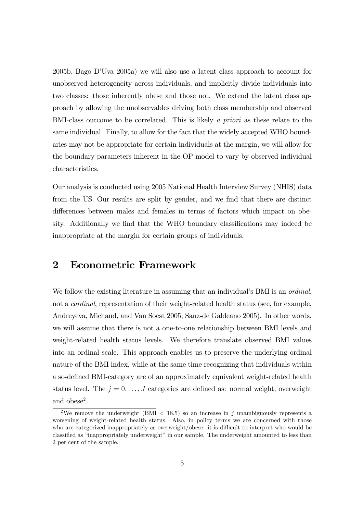2005b, Bago DíUva 2005a) we will also use a latent class approach to account for unobserved heterogeneity across individuals, and implicitly divide individuals into two classes: those inherently obese and those not. We extend the latent class approach by allowing the unobservables driving both class membership and observed BMI-class outcome to be correlated. This is likely a priori as these relate to the same individual. Finally, to allow for the fact that the widely accepted WHO boundaries may not be appropriate for certain individuals at the margin, we will allow for the boundary parameters inherent in the OP model to vary by observed individual characteristics.

Our analysis is conducted using 2005 National Health Interview Survey (NHIS) data from the US. Our results are split by gender, and we find that there are distinct differences between males and females in terms of factors which impact on obesity. Additionally we find that the WHO boundary classifications may indeed be inappropriate at the margin for certain groups of individuals.

## 2 Econometric Framework

We follow the existing literature in assuming that an individual's BMI is an *ordinal*, not a *cardinal*, representation of their weight-related health status (see, for example, Andreyeva, Michaud, and Van Soest 2005, Sanz-de Galdeano 2005). In other words, we will assume that there is not a one-to-one relationship between BMI levels and weight-related health status levels. We therefore translate observed BMI values into an ordinal scale. This approach enables us to preserve the underlying ordinal nature of the BMI index, while at the same time recognizing that individuals within a so-defined BMI-category are of an approximately equivalent weight-related health status level. The  $j = 0, \ldots, J$  categories are defined as: normal weight, overweight and obese<sup>2</sup>.

<sup>&</sup>lt;sup>2</sup>We remove the underweight (BMI  $\lt$  18.5) so an increase in j unambiguously represents a worsening of weight-related health status. Also, in policy terms we are concerned with those who are categorized inappropriately as overweight/obese: it is difficult to interpret who would be classified as "inappropriately underweight" in our sample. The underweight amounted to less than 2 per cent of the sample.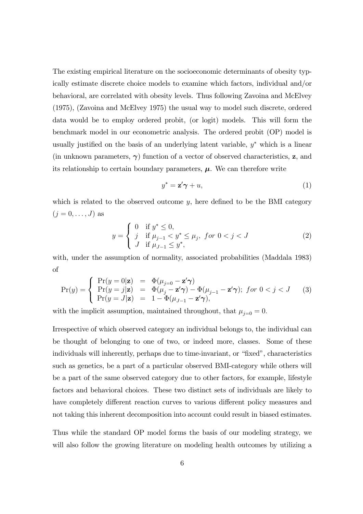The existing empirical literature on the socioeconomic determinants of obesity typically estimate discrete choice models to examine which factors, individual and/or behavioral, are correlated with obesity levels. Thus following Zavoina and McElvey (1975), (Zavoina and McElvey 1975) the usual way to model such discrete, ordered data would be to employ ordered probit, (or logit) models. This will form the benchmark model in our econometric analysis. The ordered probit (OP) model is usually justified on the basis of an underlying latent variable,  $y^*$  which is a linear (in unknown parameters,  $\gamma$ ) function of a vector of observed characteristics, z, and its relationship to certain boundary parameters,  $\mu$ . We can therefore write

$$
y^* = \mathbf{z}' \boldsymbol{\gamma} + u,\tag{1}
$$

which is related to the observed outcome  $y$ , here defined to be the BMI category  $(j = 0, \ldots, J)$  as

$$
y = \begin{cases} 0 & \text{if } y^* \le 0, \\ j & \text{if } \mu_{j-1} < y^* \le \mu_j, \text{ for } 0 < j < J \\ J & \text{if } \mu_{J-1} \le y^*, \end{cases} \tag{2}
$$

with, under the assumption of normality, associated probabilities (Maddala 1983) of

$$
\Pr(y) = \begin{cases}\n\Pr(y = 0|\mathbf{z}) &= \Phi(\mu_{j=0} - \mathbf{z}'\boldsymbol{\gamma}) \\
\Pr(y = j|\mathbf{z}) &= \Phi(\mu_j - \mathbf{z}'\boldsymbol{\gamma}) - \Phi(\mu_{j-1} - \mathbf{z}'\boldsymbol{\gamma}); \ \text{for } 0 < j < J \\
\Pr(y = J|\mathbf{z}) &= 1 - \Phi(\mu_{J-1} - \mathbf{z}'\boldsymbol{\gamma}),\n\end{cases}\n\tag{3}
$$

with the implicit assumption, maintained throughout, that  $\mu_{j=0} = 0$ .

Irrespective of which observed category an individual belongs to, the individual can be thought of belonging to one of two, or indeed more, classes. Some of these individuals will inherently, perhaps due to time-invariant, or "fixed", characteristics such as genetics, be a part of a particular observed BMI-category while others will be a part of the same observed category due to other factors, for example, lifestyle factors and behavioral choices. These two distinct sets of individuals are likely to have completely different reaction curves to various different policy measures and not taking this inherent decomposition into account could result in biased estimates.

Thus while the standard OP model forms the basis of our modeling strategy, we will also follow the growing literature on modeling health outcomes by utilizing a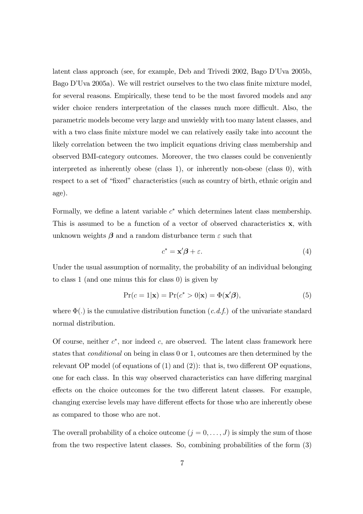latent class approach (see, for example, Deb and Trivedi  $2002$ , Bago D'Uva  $2005b$ , Bago D'Uva 2005a). We will restrict ourselves to the two class finite mixture model, for several reasons. Empirically, these tend to be the most favored models and any wider choice renders interpretation of the classes much more difficult. Also, the parametric models become very large and unwieldy with too many latent classes, and with a two class finite mixture model we can relatively easily take into account the likely correlation between the two implicit equations driving class membership and observed BMI-category outcomes. Moreover, the two classes could be conveniently interpreted as inherently obese (class 1), or inherently non-obese (class 0), with respect to a set of "fixed" characteristics (such as country of birth, ethnic origin and age).

Formally, we define a latent variable  $c^*$  which determines latent class membership. This is assumed to be a function of a vector of observed characteristics  $x$ , with unknown weights  $\beta$  and a random disturbance term  $\varepsilon$  such that

$$
c^* = \mathbf{x}'\boldsymbol{\beta} + \varepsilon. \tag{4}
$$

Under the usual assumption of normality, the probability of an individual belonging to class 1 (and one minus this for class 0) is given by

$$
Pr(c=1|\mathbf{x}) = Pr(c^* > 0|\mathbf{x}) = \Phi(\mathbf{x}'\boldsymbol{\beta}),
$$
\n(5)

where  $\Phi(.)$  is the cumulative distribution function  $(c.d.f.)$  of the univariate standard normal distribution.

Of course, neither  $c^*$ , nor indeed c, are observed. The latent class framework here states that conditional on being in class 0 or 1, outcomes are then determined by the relevant OP model (of equations of  $(1)$  and  $(2)$ ): that is, two different OP equations, one for each class. In this way observed characteristics can have differing marginal effects on the choice outcomes for the two different latent classes. For example, changing exercise levels may have different effects for those who are inherently obese as compared to those who are not.

The overall probability of a choice outcome  $(j = 0, \ldots, J)$  is simply the sum of those from the two respective latent classes. So, combining probabilities of the form (3)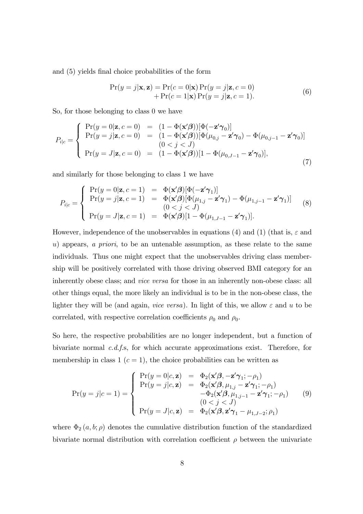and (5) yields final choice probabilities of the form

$$
\Pr(y=j|\mathbf{x}, \mathbf{z}) = \Pr(c=0|\mathbf{x}) \Pr(y=j|\mathbf{z}, c=0) \n+ \Pr(c=1|\mathbf{x}) \Pr(y=j|\mathbf{z}, c=1).
$$
\n(6)

So, for those belonging to class 0 we have

$$
P_{i|c} = \begin{cases} \Pr(y=0|\mathbf{z}, c=0) &= (1 - \Phi(\mathbf{x}'\boldsymbol{\beta}))[\Phi(-\mathbf{z}'\boldsymbol{\gamma}_0)] \\ \Pr(y=j|\mathbf{z}, c=0) &= (1 - \Phi(\mathbf{x}'\boldsymbol{\beta}))[\Phi(\mu_{0,j} - \mathbf{z}'\boldsymbol{\gamma}_0) - \Phi(\mu_{0,j-1} - \mathbf{z}'\boldsymbol{\gamma}_0)] \\ (0 < j < J) \\ \Pr(y=J|\mathbf{z}, c=0) &= (1 - \Phi(\mathbf{x}'\boldsymbol{\beta}))[1 - \Phi(\mu_{0,J-1} - \mathbf{z}'\boldsymbol{\gamma}_0)], \end{cases} \tag{7}
$$

and similarly for those belonging to class 1 we have

$$
P_{i|c} = \begin{cases} \Pr(y=0|\mathbf{z}, c=1) &= \Phi(\mathbf{x}'\boldsymbol{\beta})[\Phi(-\mathbf{z}'\boldsymbol{\gamma}_1)] \\ \Pr(y=j|\mathbf{z}, c=1) &= \Phi(\mathbf{x}'\boldsymbol{\beta})[\Phi(\mu_{1,j} - \mathbf{z}'\boldsymbol{\gamma}_1) - \Phi(\mu_{1,j-1} - \mathbf{z}'\boldsymbol{\gamma}_1)] \\ (0 < j < J) \\ \Pr(y=J|\mathbf{z}, c=1) &= \Phi(\mathbf{x}'\boldsymbol{\beta})[1 - \Phi(\mu_{1,J-1} - \mathbf{z}'\boldsymbol{\gamma}_1)]. \end{cases} \tag{8}
$$

However, independence of the unobservables in equations (4) and (1) (that is,  $\varepsilon$  and u) appears, a priori, to be an untenable assumption, as these relate to the same individuals. Thus one might expect that the unobservables driving class membership will be positively correlated with those driving observed BMI category for an inherently obese class; and vice versa for those in an inherently non-obese class: all other things equal, the more likely an individual is to be in the non-obese class, the lighter they will be (and again, *vice versa*). In light of this, we allow  $\varepsilon$  and  $u$  to be correlated, with respective correlation coefficients  $\rho_0$  and  $\rho_0$ .

So here, the respective probabilities are no longer independent, but a function of bivariate normal c.d.f.s, for which accurate approximations exist. Therefore, for membership in class 1  $(c = 1)$ , the choice probabilities can be written as

$$
\Pr(y=j|c=1) = \begin{cases}\n\Pr(y=0|c,\mathbf{z}) = \Phi_2(\mathbf{x}'\boldsymbol{\beta}, -\mathbf{z}'\boldsymbol{\gamma}_1; -\rho_1) \\
\Pr(y=j|c,\mathbf{z}) = \Phi_2(\mathbf{x}'\boldsymbol{\beta}, \mu_{1,j} - \mathbf{z}'\boldsymbol{\gamma}_1; -\rho_1) \\
-\Phi_2(\mathbf{x}'\boldsymbol{\beta}, \mu_{1,j-1} - \mathbf{z}'\boldsymbol{\gamma}_1; -\rho_1) \\
(0 < j < J) \\
\Pr(y=J|c,\mathbf{z}) = \Phi_2(\mathbf{x}'\boldsymbol{\beta}, \mathbf{z}'\boldsymbol{\gamma}_1 - \mu_{1,J-2}; \rho_1)\n\end{cases}
$$
\n(9)

where  $\Phi_2(a, b; \rho)$  denotes the cumulative distribution function of the standardized bivariate normal distribution with correlation coefficient  $\rho$  between the univariate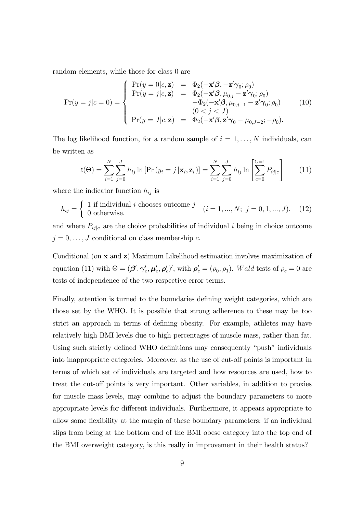random elements, while those for class 0 are

$$
\Pr(y=j|c=0) = \begin{cases}\n\Pr(y=0|c, \mathbf{z}) = \Phi_2(-\mathbf{x}'\boldsymbol{\beta}, -\mathbf{z}'\boldsymbol{\gamma}_0; \rho_0) \\
\Pr(y=j|c, \mathbf{z}) = \Phi_2(-\mathbf{x}'\boldsymbol{\beta}, \mu_{0,j} - \mathbf{z}'\boldsymbol{\gamma}_0; \rho_0) \\
-\Phi_2(-\mathbf{x}'\boldsymbol{\beta}, \mu_{0,j-1} - \mathbf{z}'\boldsymbol{\gamma}_0; \rho_0) \\
(0 < j < J) \\
\Pr(y=J|c, \mathbf{z}) = \Phi_2(-\mathbf{x}'\boldsymbol{\beta}, \mathbf{z}'\boldsymbol{\gamma}_0 - \mu_{0,J-2}; -\rho_0).\n\end{cases}
$$
(10)

The log likelihood function, for a random sample of  $i = 1, \ldots, N$  individuals, can be written as

$$
\ell(\Theta) = \sum_{i=1}^{N} \sum_{j=0}^{J} h_{ij} \ln \left[ \Pr\left(y_i = j \mid \mathbf{x}_i, \mathbf{z}_i\right) \right] = \sum_{i=1}^{N} \sum_{j=0}^{J} h_{ij} \ln \left[ \sum_{c=0}^{C=1} P_{ij|c} \right] \tag{11}
$$

where the indicator function  $h_{ij}$  is

$$
h_{ij} = \begin{cases} 1 \text{ if individual } i \text{ chooses outcome } j \\ 0 \text{ otherwise.} \end{cases} \quad (i = 1, ..., N; \ j = 0, 1, ..., J). \tag{12}
$$

and where  $P_{ij|c}$  are the choice probabilities of individual i being in choice outcome  $j = 0, \ldots, J$  conditional on class membership c.

Conditional (on x and z) Maximum Likelihood estimation involves maximization of equation (11) with  $\Theta = (\beta', \gamma'_c, \mu'_c, \rho'_c)'$ , with  $\rho'_c = (\rho_0, \rho_1)$ . Wald tests of  $\rho_c = 0$  are tests of independence of the two respective error terms.

Finally, attention is turned to the boundaries defining weight categories, which are those set by the WHO. It is possible that strong adherence to these may be too strict an approach in terms of defining obesity. For example, athletes may have relatively high BMI levels due to high percentages of muscle mass, rather than fat. Using such strictly defined WHO definitions may consequently "push" individuals into inappropriate categories. Moreover, as the use of cut-off points is important in terms of which set of individuals are targeted and how resources are used, how to treat the cut-off points is very important. Other variables, in addition to proxies for muscle mass levels, may combine to adjust the boundary parameters to more appropriate levels for different individuals. Furthermore, it appears appropriate to allow some flexibility at the margin of these boundary parameters: if an individual slips from being at the bottom end of the BMI obese category into the top end of the BMI overweight category, is this really in improvement in their health status?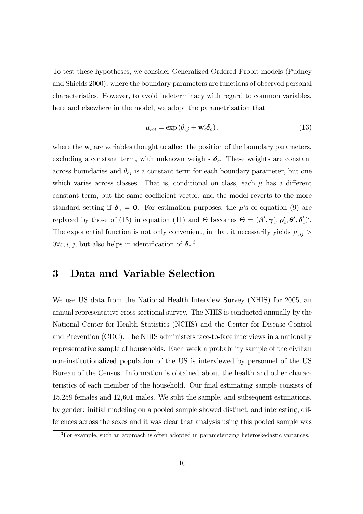To test these hypotheses, we consider Generalized Ordered Probit models (Pudney and Shields 2000), where the boundary parameters are functions of observed personal characteristics. However, to avoid indeterminacy with regard to common variables, here and elsewhere in the model, we adopt the parametrization that

$$
\mu_{cij} = \exp\left(\theta_{cj} + \mathbf{w}_i^{\prime} \boldsymbol{\delta}_c\right),\tag{13}
$$

where the  $w_i$  are variables thought to affect the position of the boundary parameters, excluding a constant term, with unknown weights  $\delta_c$ . These weights are constant across boundaries and  $\theta_{cj}$  is a constant term for each boundary parameter, but one which varies across classes. That is, conditional on class, each  $\mu$  has a different constant term, but the same coefficient vector, and the model reverts to the more standard setting if  $\delta_c = 0$ . For estimation purposes, the  $\mu$ 's of equation (9) are replaced by those of (13) in equation (11) and  $\Theta$  becomes  $\Theta = (\beta', \gamma'_c, \rho'_c, \theta', \delta'_c)'$ . The exponential function is not only convenient, in that it necessarily yields  $\mu_{cij}$  >  $0 \forall c, i, j$ , but also helps in identification of  $\delta_c$ .<sup>3</sup>

## 3 Data and Variable Selection

We use US data from the National Health Interview Survey (NHIS) for 2005, an annual representative cross sectional survey. The NHIS is conducted annually by the National Center for Health Statistics (NCHS) and the Center for Disease Control and Prevention (CDC). The NHIS administers face-to-face interviews in a nationally representative sample of households. Each week a probability sample of the civilian non-institutionalized population of the US is interviewed by personnel of the US Bureau of the Census. Information is obtained about the health and other characteristics of each member of the household. Our final estimating sample consists of 15,259 females and 12,601 males. We split the sample, and subsequent estimations, by gender: initial modeling on a pooled sample showed distinct, and interesting, differences across the sexes and it was clear that analysis using this pooled sample was

 $3$ For example, such an approach is often adopted in parameterizing heteroskedastic variances.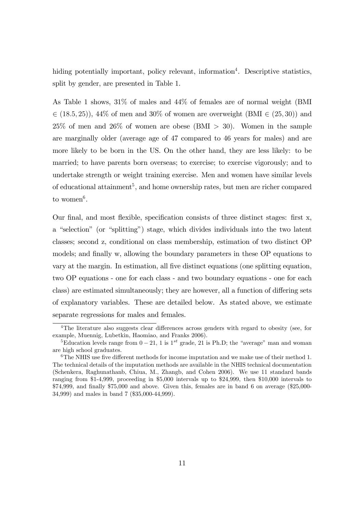hiding potentially important, policy relevant, information<sup>4</sup>. Descriptive statistics, split by gender, are presented in Table 1.

As Table 1 shows, 31% of males and 44% of females are of normal weight (BMI  $\in (18.5, 25)$ , 44% of men and 30% of women are overweight (BMI  $\in (25, 30)$ ) and  $25\%$  of men and  $26\%$  of women are obese (BMI  $> 30$ ). Women in the sample are marginally older (average age of 47 compared to 46 years for males) and are more likely to be born in the US. On the other hand, they are less likely: to be married; to have parents born overseas; to exercise; to exercise vigorously; and to undertake strength or weight training exercise. Men and women have similar levels of educational attainment<sup>5</sup>, and home ownership rates, but men are richer compared to women<sup>6</sup>.

Our final, and most flexible, specification consists of three distinct stages: first x, a "selection" (or "splitting") stage, which divides individuals into the two latent classes; second z, conditional on class membership, estimation of two distinct OP models; and finally w, allowing the boundary parameters in these OP equations to vary at the margin. In estimation, all Öve distinct equations (one splitting equation, two OP equations - one for each class - and two boundary equations - one for each class) are estimated simultaneously; they are however, all a function of differing sets of explanatory variables. These are detailed below. As stated above, we estimate separate regressions for males and females.

<sup>&</sup>lt;sup>4</sup>The literature also suggests clear differences across genders with regard to obesity (see, for example, Muennig, Lubetkin, Haomiao, and Franks 2006).

<sup>&</sup>lt;sup>5</sup>Education levels range from  $0-21$ , 1 is  $1^{st}$  grade, 21 is Ph.D; the "average" man and woman are high school graduates.

 $6$ The NHIS use five different methods for income imputation and we make use of their method 1. The technical details of the imputation methods are available in the NHIS technical documentation (Schenkera, Raghunathanb, Chiua, M., Zhangb, and Cohen 2006). We use 11 standard bands ranging from \$1-4,999, proceeding in \$5,000 intervals up to \$24,999, then \$10,000 intervals to  $$74,999$ , and finally  $$75,000$  and above. Given this, females are in band 6 on average ( $$25,000$ -34,999) and males in band 7 (\$35,000-44,999).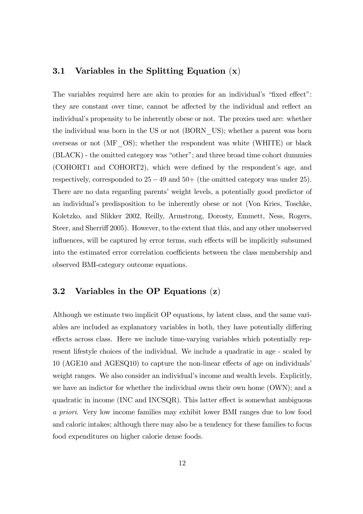#### 3.1 Variables in the Splitting Equation  $(x)$

The variables required here are akin to proxies for an individual's "fixed effect": they are constant over time, cannot be affected by the individual and reflect an individual's propensity to be inherently obese or not. The proxies used are: whether the individual was born in the US or not (BORN\_US); whether a parent was born overseas or not (MF\_OS); whether the respondent was white (WHITE) or black  $(BLACK)$  - the omitted category was "other"; and three broad time cohort dummies (COHORT1 and COHORT2), which were defined by the respondent's age, and respectively, corresponded to  $25-49$  and  $50+$  (the omitted category was under 25). There are no data regarding parents' weight levels, a potentially good predictor of an individualís predisposition to be inherently obese or not (Von Kries, Toschke, Koletzko, and Slikker 2002, Reilly, Armstrong, Dorosty, Emmett, Ness, Rogers, Steer, and Sherriff 2005). However, to the extent that this, and any other unobserved influences, will be captured by error terms, such effects will be implicitly subsumed into the estimated error correlation coefficients between the class membership and observed BMI-category outcome equations.

#### 3.2 Variables in the OP Equations (z)

Although we estimate two implicit OP equations, by latent class, and the same variables are included as explanatory variables in both, they have potentially differing effects across class. Here we include time-varying variables which potentially represent lifestyle choices of the individual. We include a quadratic in age - scaled by  $10$  (AGE10 and AGESQ10) to capture the non-linear effects of age on individuals<sup>7</sup> weight ranges. We also consider an individual's income and wealth levels. Explicitly, we have an indictor for whether the individual owns their own home (OWN); and a quadratic in income (INC and INCSQR). This latter effect is somewhat ambiguous a priori. Very low income families may exhibit lower BMI ranges due to low food and caloric intakes; although there may also be a tendency for these families to focus food expenditures on higher calorie dense foods.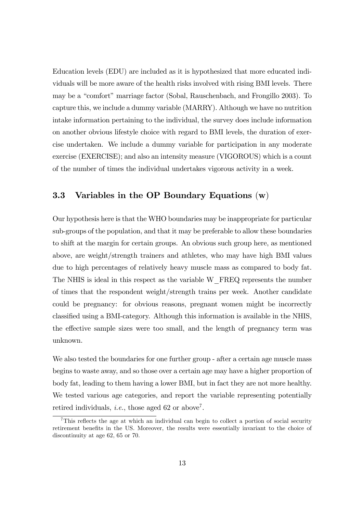Education levels (EDU) are included as it is hypothesized that more educated individuals will be more aware of the health risks involved with rising BMI levels. There may be a "comfort" marriage factor (Sobal, Rauschenbach, and Frongillo 2003). To capture this, we include a dummy variable (MARRY). Although we have no nutrition intake information pertaining to the individual, the survey does include information on another obvious lifestyle choice with regard to BMI levels, the duration of exercise undertaken. We include a dummy variable for participation in any moderate exercise (EXERCISE); and also an intensity measure (VIGOROUS) which is a count of the number of times the individual undertakes vigorous activity in a week.

#### 3.3 Variables in the OP Boundary Equations  $(w)$

Our hypothesis here is that the WHO boundaries may be inappropriate for particular sub-groups of the population, and that it may be preferable to allow these boundaries to shift at the margin for certain groups. An obvious such group here, as mentioned above, are weight/strength trainers and athletes, who may have high BMI values due to high percentages of relatively heavy muscle mass as compared to body fat. The NHIS is ideal in this respect as the variable W\_FREQ represents the number of times that the respondent weight/strength trains per week. Another candidate could be pregnancy: for obvious reasons, pregnant women might be incorrectly classified using a BMI-category. Although this information is available in the NHIS, the effective sample sizes were too small, and the length of pregnancy term was unknown.

We also tested the boundaries for one further group - after a certain age muscle mass begins to waste away, and so those over a certain age may have a higher proportion of body fat, leading to them having a lower BMI, but in fact they are not more healthy. We tested various age categories, and report the variable representing potentially retired individuals, *i.e.*, those aged 62 or above<sup>7</sup>.

 $7$ This reflects the age at which an individual can begin to collect a portion of social security retirement benefits in the US. Moreover, the results were essentially invariant to the choice of discontinuity at age 62, 65 or 70.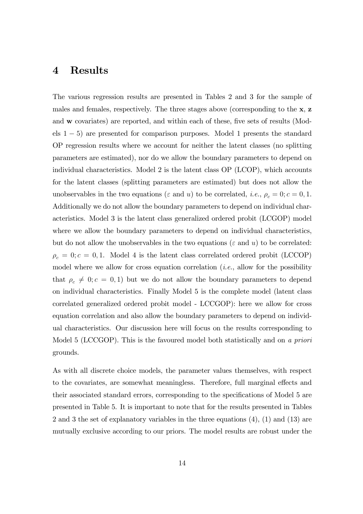#### 4 Results

The various regression results are presented in Tables 2 and 3 for the sample of males and females, respectively. The three stages above (corresponding to the x, z and w covariates) are reported, and within each of these, five sets of results (Models  $1 - 5$ ) are presented for comparison purposes. Model 1 presents the standard OP regression results where we account for neither the latent classes (no splitting parameters are estimated), nor do we allow the boundary parameters to depend on individual characteristics. Model 2 is the latent class OP (LCOP), which accounts for the latent classes (splitting parameters are estimated) but does not allow the unobservables in the two equations ( $\varepsilon$  and  $u$ ) to be correlated, *i.e.*,  $\rho_c = 0$ ;  $c = 0, 1$ . Additionally we do not allow the boundary parameters to depend on individual characteristics. Model 3 is the latent class generalized ordered probit (LCGOP) model where we allow the boundary parameters to depend on individual characteristics, but do not allow the unobservables in the two equations ( $\varepsilon$  and  $u$ ) to be correlated:  $\rho_c = 0$ ;  $c = 0, 1$ . Model 4 is the latent class correlated ordered probit (LCCOP) model where we allow for cross equation correlation  $(i.e.,$  allow for the possibility that  $\rho_c \neq 0; c = 0, 1$  but we do not allow the boundary parameters to depend on individual characteristics. Finally Model 5 is the complete model (latent class correlated generalized ordered probit model - LCCGOP): here we allow for cross equation correlation and also allow the boundary parameters to depend on individual characteristics. Our discussion here will focus on the results corresponding to Model 5 (LCCGOP). This is the favoured model both statistically and on a priori grounds.

As with all discrete choice models, the parameter values themselves, with respect to the covariates, are somewhat meaningless. Therefore, full marginal effects and their associated standard errors, corresponding to the specifications of Model 5 are presented in Table 5. It is important to note that for the results presented in Tables 2 and 3 the set of explanatory variables in the three equations (4), (1) and (13) are mutually exclusive according to our priors. The model results are robust under the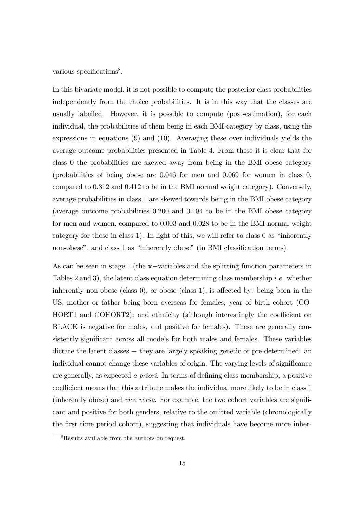various specifications<sup>8</sup>.

In this bivariate model, it is not possible to compute the posterior class probabilities independently from the choice probabilities. It is in this way that the classes are usually labelled. However, it is possible to compute (post-estimation), for each individual, the probabilities of them being in each BMI-category by class, using the expressions in equations (9) and (10). Averaging these over individuals yields the average outcome probabilities presented in Table 4. From these it is clear that for class 0 the probabilities are skewed away from being in the BMI obese category (probabilities of being obese are 0.046 for men and 0.069 for women in class 0, compared to 0.312 and 0.412 to be in the BMI normal weight category). Conversely, average probabilities in class 1 are skewed towards being in the BMI obese category (average outcome probabilities 0.200 and 0.194 to be in the BMI obese category for men and women, compared to 0.003 and 0.028 to be in the BMI normal weight category for those in class 1). In light of this, we will refer to class 0 as "inherently non-obese", and class 1 as "inherently obese" (in BMI classification terms).

As can be seen in stage 1 (the  $x$ -variables and the splitting function parameters in Tables 2 and 3), the latent class equation determining class membership *i.e.* whether inherently non-obese (class  $0$ ), or obese (class 1), is affected by: being born in the US; mother or father being born overseas for females; year of birth cohort (CO- $HORT1$  and  $COHORT2$ ; and ethnicity (although interestingly the coefficient on BLACK is negative for males, and positive for females). These are generally consistently significant across all models for both males and females. These variables dictate the latent classes  $-$  they are largely speaking genetic or pre-determined: an individual cannot change these variables of origin. The varying levels of significance are generally, as expected a priori. In terms of defining class membership, a positive coefficient means that this attribute makes the individual more likely to be in class 1 (inherently obese) and *vice versa*. For example, the two cohort variables are significant and positive for both genders, relative to the omitted variable (chronologically the first time period cohort), suggesting that individuals have become more inher-

<sup>&</sup>lt;sup>8</sup>Results available from the authors on request.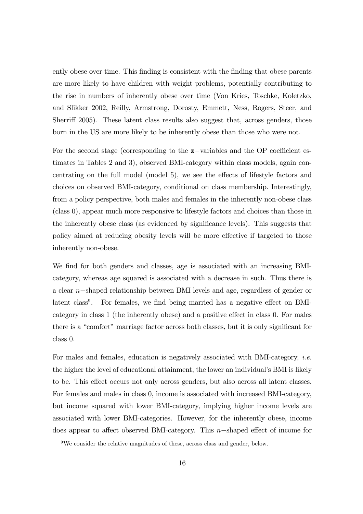ently obese over time. This finding is consistent with the finding that obese parents are more likely to have children with weight problems, potentially contributing to the rise in numbers of inherently obese over time (Von Kries, Toschke, Koletzko, and Slikker 2002, Reilly, Armstrong, Dorosty, Emmett, Ness, Rogers, Steer, and Sherriff 2005). These latent class results also suggest that, across genders, those born in the US are more likely to be inherently obese than those who were not.

For the second stage (corresponding to the  $z$ -variables and the OP coefficient estimates in Tables 2 and 3), observed BMI-category within class models, again concentrating on the full model (model  $5$ ), we see the effects of lifestyle factors and choices on observed BMI-category, conditional on class membership. Interestingly, from a policy perspective, both males and females in the inherently non-obese class (class 0), appear much more responsive to lifestyle factors and choices than those in the inherently obese class (as evidenced by significance levels). This suggests that policy aimed at reducing obesity levels will be more effective if targeted to those inherently non-obese.

We find for both genders and classes, age is associated with an increasing BMIcategory, whereas age squared is associated with a decrease in such. Thus there is a clear  $n$ -shaped relationship between BMI levels and age, regardless of gender or latent class<sup>9</sup>. For females, we find being married has a negative effect on BMIcategory in class 1 (the inherently obese) and a positive effect in class 0. For males there is a "comfort" marriage factor across both classes, but it is only significant for class 0.

For males and females, education is negatively associated with BMI-category, i.e. the higher the level of educational attainment, the lower an individual's BMI is likely to be. This effect occurs not only across genders, but also across all latent classes. For females and males in class 0, income is associated with increased BMI-category, but income squared with lower BMI-category, implying higher income levels are associated with lower BMI-categories. However, for the inherently obese, income does appear to affect observed BMI-category. This  $n$ -shaped effect of income for

 $9$ We consider the relative magnitudes of these, across class and gender, below.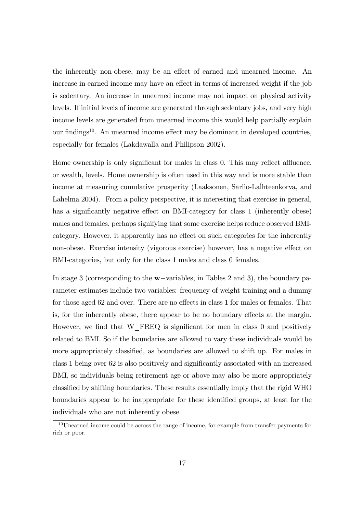the inherently non-obese, may be an effect of earned and unearned income. An increase in earned income may have an effect in terms of increased weight if the job is sedentary. An increase in unearned income may not impact on physical activity levels. If initial levels of income are generated through sedentary jobs, and very high income levels are generated from unearned income this would help partially explain our findings<sup>10</sup>. An unearned income effect may be dominant in developed countries, especially for females (Lakdawalla and Philipson 2002).

Home ownership is only significant for males in class  $0$ . This may reflect affluence, or wealth, levels. Home ownership is often used in this way and is more stable than income at measuring cumulative prosperity (Laaksonen, Sarlio-Laihteenkorva, and Lahelma 2004). From a policy perspective, it is interesting that exercise in general, has a significantly negative effect on BMI-category for class 1 (inherently obese) males and females, perhaps signifying that some exercise helps reduce observed BMIcategory. However, it apparently has no effect on such categories for the inherently non-obese. Exercise intensity (vigorous exercise) however, has a negative effect on BMI-categories, but only for the class 1 males and class 0 females.

In stage 3 (corresponding to the  $w$ -variables, in Tables 2 and 3), the boundary parameter estimates include two variables: frequency of weight training and a dummy for those aged 62 and over. There are no effects in class 1 for males or females. That is, for the inherently obese, there appear to be no boundary effects at the margin. However, we find that  $W$  FREQ is significant for men in class 0 and positively related to BMI. So if the boundaries are allowed to vary these individuals would be more appropriately classified, as boundaries are allowed to shift up. For males in class 1 being over 62 is also positively and significantly associated with an increased BMI, so individuals being retirement age or above may also be more appropriately classified by shifting boundaries. These results essentially imply that the rigid WHO boundaries appear to be inappropriate for these identified groups, at least for the individuals who are not inherently obese.

 $10$ Unearned income could be across the range of income, for example from transfer payments for rich or poor.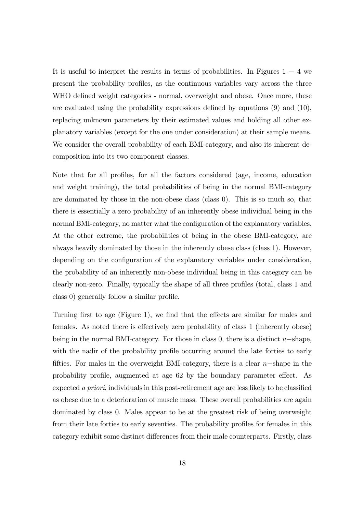It is useful to interpret the results in terms of probabilities. In Figures  $1 - 4$  we present the probability profiles, as the continuous variables vary across the three WHO defined weight categories - normal, overweight and obese. Once more, these are evaluated using the probability expressions defined by equations  $(9)$  and  $(10)$ , replacing unknown parameters by their estimated values and holding all other explanatory variables (except for the one under consideration) at their sample means. We consider the overall probability of each BMI-category, and also its inherent decomposition into its two component classes.

Note that for all profiles, for all the factors considered (age, income, education and weight training), the total probabilities of being in the normal BMI-category are dominated by those in the non-obese class (class 0). This is so much so, that there is essentially a zero probability of an inherently obese individual being in the normal BMI-category, no matter what the configuration of the explanatory variables. At the other extreme, the probabilities of being in the obese BMI-category, are always heavily dominated by those in the inherently obese class (class 1). However, depending on the configuration of the explanatory variables under consideration, the probability of an inherently non-obese individual being in this category can be clearly non-zero. Finally, typically the shape of all three profiles (total, class 1 and  $class 0$  generally follow a similar profile.

Turning first to age (Figure 1), we find that the effects are similar for males and females. As noted there is effectively zero probability of class 1 (inherently obese) being in the normal BMI-category. For those in class 0, there is a distinct  $u$ -shape, with the nadir of the probability profile occurring around the late forties to early fifties. For males in the overweight BMI-category, there is a clear  $n$ -shape in the probability profile, augmented at age 62 by the boundary parameter effect. As expected a priori, individuals in this post-retirement age are less likely to be classified as obese due to a deterioration of muscle mass. These overall probabilities are again dominated by class 0. Males appear to be at the greatest risk of being overweight from their late forties to early seventies. The probability profiles for females in this category exhibit some distinct differences from their male counterparts. Firstly, class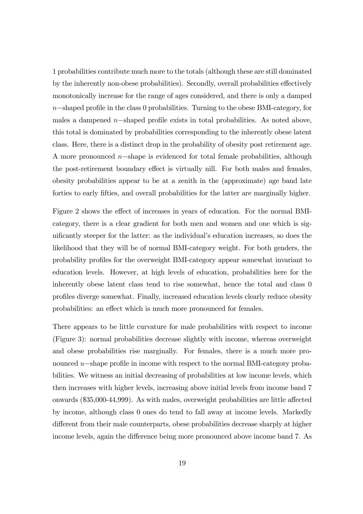1 probabilities contribute much more to the totals (although these are still dominated by the inherently non-obese probabilities). Secondly, overall probabilities effectively monotonically increase for the range of ages considered, and there is only a damped  $n$ -shaped profile in the class 0 probabilities. Turning to the obese BMI-category, for males a dampened  $n$ -shaped profile exists in total probabilities. As noted above, this total is dominated by probabilities corresponding to the inherently obese latent class. Here, there is a distinct drop in the probability of obesity post retirement age. A more pronounced  $n$ -shape is evidenced for total female probabilities, although the post-retirement boundary effect is virtually nill. For both males and females, obesity probabilities appear to be at a zenith in the (approximate) age band late forties to early fifties, and overall probabilities for the latter are marginally higher.

Figure 2 shows the effect of increases in years of education. For the normal BMIcategory, there is a clear gradient for both men and women and one which is significantly steeper for the latter: as the individual's education increases, so does the likelihood that they will be of normal BMI-category weight. For both genders, the probability proÖles for the overweight BMI-category appear somewhat invariant to education levels. However, at high levels of education, probabilities here for the inherently obese latent class tend to rise somewhat, hence the total and class 0 proÖles diverge somewhat. Finally, increased education levels clearly reduce obesity probabilities: an effect which is much more pronounced for females.

There appears to be little curvature for male probabilities with respect to income (Figure 3): normal probabilities decrease slightly with income, whereas overweight and obese probabilities rise marginally. For females, there is a much more pronounced  $u$ -shape profile in income with respect to the normal BMI-category probabilities. We witness an initial decreasing of probabilities at low income levels, which then increases with higher levels, increasing above initial levels from income band 7 onwards  $(\$35,000-44,999)$ . As with males, overweight probabilities are little affected by income, although class 0 ones do tend to fall away at income levels. Markedly different from their male counterparts, obese probabilities decrease sharply at higher income levels, again the difference being more pronounced above income band 7. As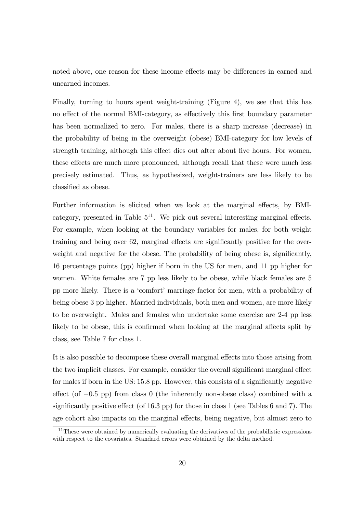noted above, one reason for these income effects may be differences in earned and unearned incomes.

Finally, turning to hours spent weight-training (Figure 4), we see that this has no effect of the normal BMI-category, as effectively this first boundary parameter has been normalized to zero. For males, there is a sharp increase (decrease) in the probability of being in the overweight (obese) BMI-category for low levels of strength training, although this effect dies out after about five hours. For women, these effects are much more pronounced, although recall that these were much less precisely estimated. Thus, as hypothesized, weight-trainers are less likely to be classified as obese.

Further information is elicited when we look at the marginal effects, by BMIcategory, presented in Table  $5^{11}$ . We pick out several interesting marginal effects. For example, when looking at the boundary variables for males, for both weight training and being over 62, marginal effects are significantly positive for the overweight and negative for the obese. The probability of being obese is, significantly, 16 percentage points (pp) higher if born in the US for men, and 11 pp higher for women. White females are 7 pp less likely to be obese, while black females are 5 pp more likely. There is a 'comfort' marriage factor for men, with a probability of being obese 3 pp higher. Married individuals, both men and women, are more likely to be overweight. Males and females who undertake some exercise are 2-4 pp less likely to be obese, this is confirmed when looking at the marginal affects split by class, see Table 7 for class 1.

It is also possible to decompose these overall marginal effects into those arising from the two implicit classes. For example, consider the overall significant marginal effect for males if born in the US:  $15.8$  pp. However, this consists of a significantly negative effect (of  $-0.5$  pp) from class 0 (the inherently non-obese class) combined with a significantly positive effect (of  $16.3$  pp) for those in class 1 (see Tables 6 and 7). The age cohort also impacts on the marginal effects, being negative, but almost zero to

 $11$ These were obtained by numerically evaluating the derivatives of the probabilistic expressions with respect to the covariates. Standard errors were obtained by the delta method.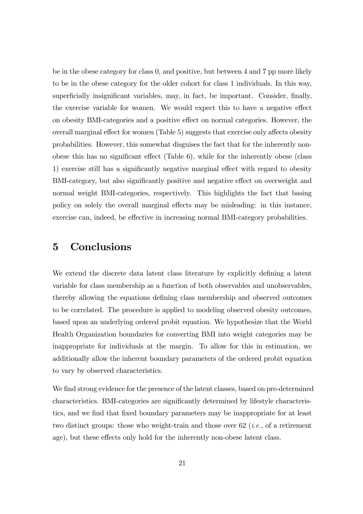be in the obese category for class 0, and positive, but between 4 and 7 pp more likely to be in the obese category for the older cohort for class 1 individuals. In this way, superficially insignificant variables, may, in fact, be important. Consider, finally, the exercise variable for women. We would expect this to have a negative effect on obesity BMI-categories and a positive effect on normal categories. However, the overall marginal effect for women (Table 5) suggests that exercise only affects obesity probabilities. However, this somewhat disguises the fact that for the inherently nonobese this has no significant effect (Table  $6$ ), while for the inherently obese (class 1) exercise still has a significantly negative marginal effect with regard to obesity BMI-category, but also significantly positive and negative effect on overweight and normal weight BMI-categories, respectively. This highlights the fact that basing policy on solely the overall marginal effects may be misleading: in this instance, exercise can, indeed, be effective in increasing normal BMI-category probabilities.

## 5 Conclusions

We extend the discrete data latent class literature by explicitly defining a latent variable for class membership as a function of both observables and unobservables, thereby allowing the equations defining class membership and observed outcomes to be correlated. The procedure is applied to modeling observed obesity outcomes, based upon an underlying ordered probit equation. We hypothesize that the World Health Organization boundaries for converting BMI into weight categories may be inappropriate for individuals at the margin. To allow for this in estimation, we additionally allow the inherent boundary parameters of the ordered probit equation to vary by observed characteristics.

We find strong evidence for the presence of the latent classes, based on pre-determined characteristics. BMI-categories are significantly determined by lifestyle characteristics, and we find that fixed boundary parameters may be inappropriate for at least two distinct groups: those who weight-train and those over 62 (i.e., of a retirement age), but these effects only hold for the inherently non-obese latent class.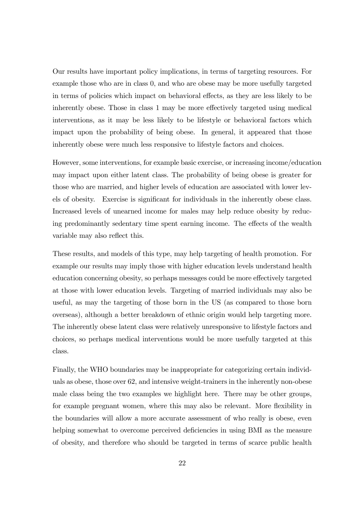Our results have important policy implications, in terms of targeting resources. For example those who are in class 0, and who are obese may be more usefully targeted in terms of policies which impact on behavioral effects, as they are less likely to be inherently obese. Those in class 1 may be more effectively targeted using medical interventions, as it may be less likely to be lifestyle or behavioral factors which impact upon the probability of being obese. In general, it appeared that those inherently obese were much less responsive to lifestyle factors and choices.

However, some interventions, for example basic exercise, or increasing income/education may impact upon either latent class. The probability of being obese is greater for those who are married, and higher levels of education are associated with lower levels of obesity. Exercise is significant for individuals in the inherently obese class. Increased levels of unearned income for males may help reduce obesity by reducing predominantly sedentary time spent earning income. The effects of the wealth variable may also reflect this.

These results, and models of this type, may help targeting of health promotion. For example our results may imply those with higher education levels understand health education concerning obesity, so perhaps messages could be more effectively targeted at those with lower education levels. Targeting of married individuals may also be useful, as may the targeting of those born in the US (as compared to those born overseas), although a better breakdown of ethnic origin would help targeting more. The inherently obese latent class were relatively unresponsive to lifestyle factors and choices, so perhaps medical interventions would be more usefully targeted at this class.

Finally, the WHO boundaries may be inappropriate for categorizing certain individuals as obese, those over 62, and intensive weight-trainers in the inherently non-obese male class being the two examples we highlight here. There may be other groups, for example pregnant women, where this may also be relevant. More flexibility in the boundaries will allow a more accurate assessment of who really is obese, even helping somewhat to overcome perceived deficiencies in using BMI as the measure of obesity, and therefore who should be targeted in terms of scarce public health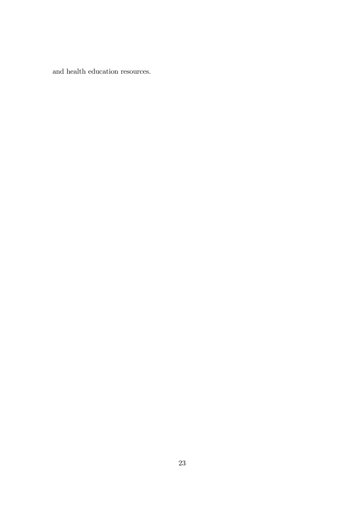and health education resources.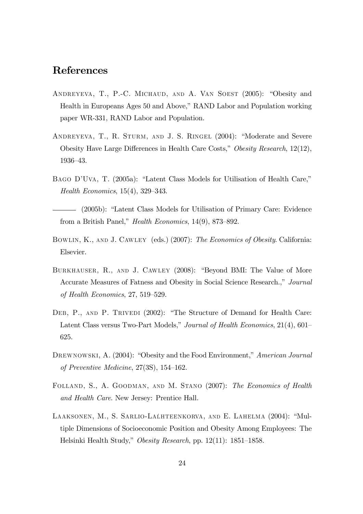## References

- ANDREYEVA, T., P.-C. MICHAUD, AND A. VAN SOEST (2005): "Obesity and Health in Europeans Ages 50 and Above," RAND Labor and Population working paper WR-331, RAND Labor and Population.
- ANDREYEVA, T., R. STURM, AND J. S. RINGEL (2004): "Moderate and Severe Obesity Have Large Differences in Health Care Costs," Obesity Research,  $12(12)$ , 1936-43.
- BAGO D'UVA, T. (2005a): "Latent Class Models for Utilisation of Health Care," Health Economics,  $15(4)$ ,  $329-343$ .
- $(2005b)$ : "Latent Class Models for Utilisation of Primary Care: Evidence from a British Panel," Health Economics,  $14(9)$ , 873–892.
- BOWLIN, K., AND J. CAWLEY (eds.) (2007): The Economics of Obesity. California: Elsevier.
- BURKHAUSER, R., AND J. CAWLEY (2008): "Beyond BMI: The Value of More Accurate Measures of Fatness and Obesity in Social Science Research.," Journal of Health Economics,  $27, 519-529$ .
- DEB, P., AND P. TRIVEDI (2002): "The Structure of Demand for Health Care: Latent Class versus Two-Part Models," Journal of Health Economics,  $21(4)$ ,  $601-$ 625.
- DREWNOWSKI, A. (2004): "Obesity and the Food Environment," American Journal of Preventive Medicine,  $27(3S)$ ,  $154-162$ .
- Folland, S., A. Goodman, and M. Stano (2007): The Economics of Health and Health Care. New Jersey: Prentice Hall.
- LAAKSONEN, M., S. SARLIO-LALHTEENKORVA, AND E. LAHELMA (2004): "Multiple Dimensions of Socioeconomic Position and Obesity Among Employees: The Helsinki Health Study," Obesity Research, pp. 12(11): 1851–1858.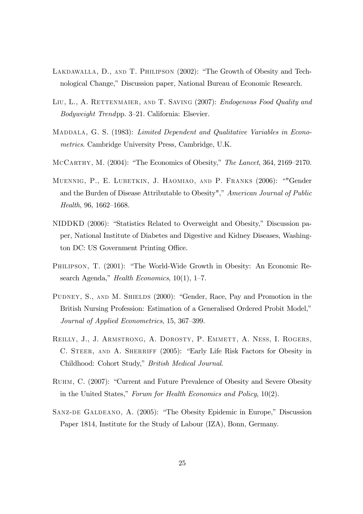- LAKDAWALLA, D., AND T. PHILIPSON  $(2002)$ : "The Growth of Obesity and Technological Change," Discussion paper, National Bureau of Economic Research.
- LIU, L., A. RETTENMAIER, AND T. SAVING (2007): *Endogenous Food Quality and*  $Bodyweight$  Trendpp. 3–21. California: Elsevier.
- MADDALA, G. S. (1983): Limited Dependent and Qualitative Variables in Econometrics. Cambridge University Press, Cambridge, U.K.
- MCCARTHY, M.  $(2004)$ : "The Economics of Obesity," The Lancet, 364, 2169–2170.
- MUENNIG, P., E. LUBETKIN, J. HAOMIAO, AND P. FRANKS (2006): ""Gender and the Burden of Disease Attributable to Obesity"," American Journal of Public  $Health, 96, 1662–1668.$
- NIDDKD (2006): "Statistics Related to Overweight and Obesity," Discussion paper, National Institute of Diabetes and Digestive and Kidney Diseases, Washington DC: US Government Printing Office.
- PHILIPSON, T. (2001): "The World-Wide Growth in Obesity: An Economic Research Agenda," Health Economics,  $10(1)$ , 1–7.
- PUDNEY, S., AND M. SHIELDS (2000): "Gender, Race, Pay and Promotion in the British Nursing Profession: Estimation of a Generalised Ordered Probit Model," Journal of Applied Econometrics, 15, 367–399.
- Reilly, J., J. Armstrong, A. Dorosty, P. Emmett, A. Ness, I. Rogers, C. STEER, AND A. SHERRIFF (2005): "Early Life Risk Factors for Obesity in Childhood: Cohort Study," British Medical Journal.
- RUHM, C. (2007): "Current and Future Prevalence of Obesity and Severe Obesity in the United States," Forum for Health Economics and Policy,  $10(2)$ .
- SANZ-DE GALDEANO, A. (2005): "The Obesity Epidemic in Europe," Discussion Paper 1814, Institute for the Study of Labour (IZA), Bonn, Germany.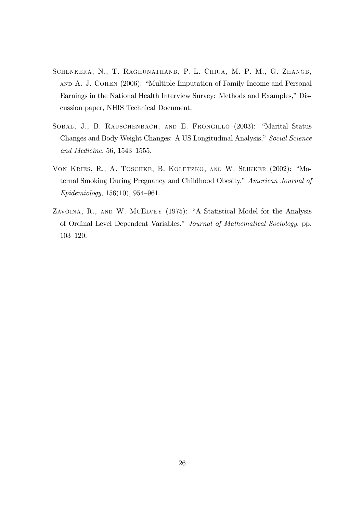- Schenkera, N., T. Raghunathanb, P.-L. Chiua, M. P. M., G. Zhangb, AND A. J. COHEN (2006): "Multiple Imputation of Family Income and Personal Earnings in the National Health Interview Survey: Methods and Examples," Discussion paper, NHIS Technical Document.
- SOBAL, J., B. RAUSCHENBACH, AND E. FRONGILLO (2003): "Marital Status Changes and Body Weight Changes: A US Longitudinal Analysis," Social Science and Medicine,  $56, 1543 - 1555$ .
- VON KRIES, R., A. TOSCHKE, B. KOLETZKO, AND W. SLIKKER (2002): "Maternal Smoking During Pregnancy and Childhood Obesity," American Journal of  $Epidemiology, 156(10), 954–961.$
- ZAVOINA, R., AND W. MCELVEY (1975): "A Statistical Model for the Analysis of Ordinal Level Dependent Variables," Journal of Mathematical Sociology, pp.  $103 - 120.$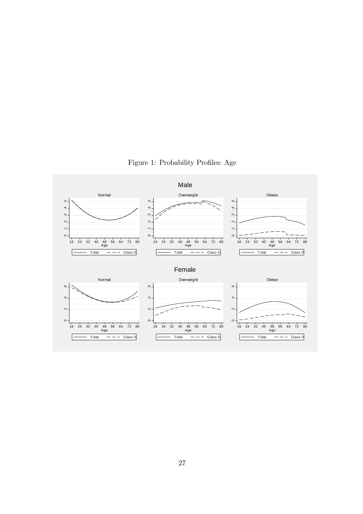

Figure 1: Probability Profiles: Age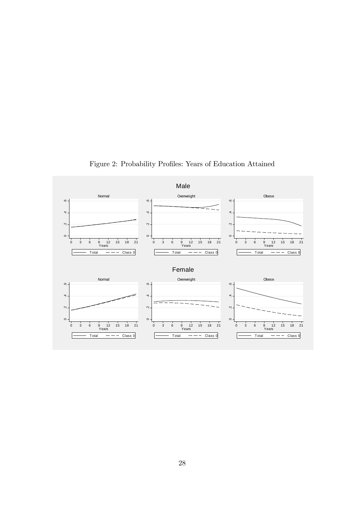

Figure 2: Probability Profiles: Years of Education Attained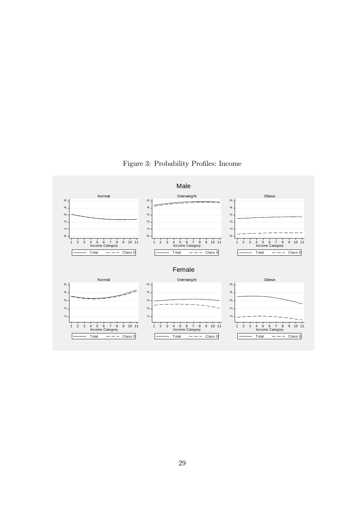

Figure 3: Probability Profiles: Income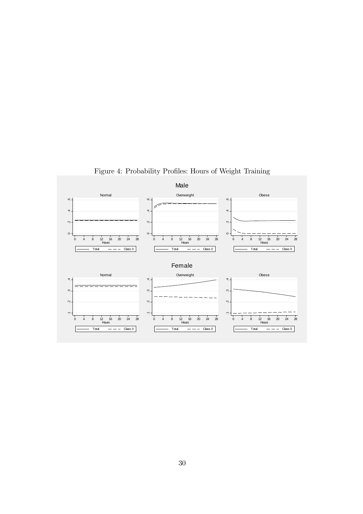

Figure 4: Probability Profiles: Hours of Weight Training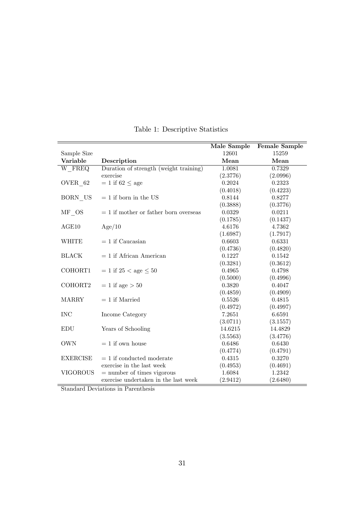|                 |                                         | Male Sample | <b>Female Sample</b> |
|-----------------|-----------------------------------------|-------------|----------------------|
| Sample Size     |                                         | 12601       | 15259                |
| Variable        | Description                             | Mean        | Mean                 |
| W FREQ          | Duration of strength (weight training)  | 1.0081      | 0.7329               |
|                 | exercise                                | (2.3776)    | (2.0996)             |
| OVER 62         | $= 1$ if 62 $\leq$ age                  | 0.2024      | 0.2323               |
|                 |                                         | (0.4018)    | (0.4223)             |
| BORN US         | $= 1$ if born in the US                 | 0.8144      | 0.8277               |
|                 |                                         | (0.3888)    | (0.3776)             |
| MF OS           | $= 1$ if mother or father born overseas | 0.0329      | 0.0211               |
|                 |                                         | (0.1785)    | (0.1437)             |
| AGE10           | Age/10                                  | 4.6176      | 4.7362               |
|                 |                                         | (1.6987)    | (1.7917)             |
| <b>WHITE</b>    | $= 1$ if Caucasian                      | 0.6603      | 0.6331               |
|                 |                                         | (0.4736)    | (0.4820)             |
| <b>BLACK</b>    | $= 1$ if African American               | 0.1227      | 0.1542               |
|                 |                                         | (0.3281)    | (0.3612)             |
| COHORT1         | $= 1$ if 25 < age $\leq 50$             | 0.4965      | 0.4798               |
|                 |                                         | (0.5000)    | (0.4996)             |
| COHORT2         | $= 1$ if age $> 50$                     | 0.3820      | 0.4047               |
|                 |                                         | (0.4859)    | (0.4909)             |
| <b>MARRY</b>    | $= 1$ if Married                        | 0.5526      | 0.4815               |
|                 |                                         | (0.4972)    | (0.4997)             |
| <b>INC</b>      | Income Category                         | 7.2651      | 6.6591               |
|                 |                                         | (3.0711)    | (3.1557)             |
| <b>EDU</b>      | Years of Schooling                      | 14.6215     | 14.4829              |
|                 |                                         | (3.5563)    | (3.4776)             |
| <b>OWN</b>      | $= 1$ if own house                      | 0.6486      | 0.6430               |
|                 |                                         | (0.4774)    | (0.4791)             |
| <b>EXERCISE</b> | $= 1$ if conducted moderate             | 0.4315      | 0.3270               |
|                 | exercise in the last week               | (0.4953)    | (0.4691)             |
| <b>VIGOROUS</b> | $=$ number of times vigorous            | 1.6084      | 1.2342               |
|                 | exercise undertaken in the last week    | (2.9412)    | (2.6480)             |

Table 1: Descriptive Statistics

Standard Deviations in Parenthesis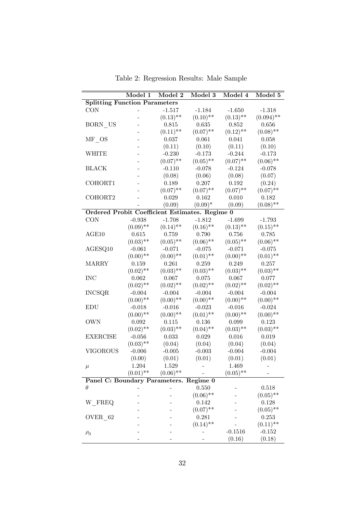|                                                       | Model 1     | Model 2     | Model 3     | Model 4     | Model 5      |
|-------------------------------------------------------|-------------|-------------|-------------|-------------|--------------|
| <b>Splitting Function Parameters</b>                  |             |             |             |             |              |
| <b>CON</b>                                            |             | $-1.517$    | $-1.184$    | $-1.650$    | $-1.318$     |
|                                                       |             | $(0.13)$ ** | $(0.10)$ ** | $(0.13)$ ** | $(0.094)$ ** |
| BORN US                                               |             | 0.815       | 0.635       | 0.852       | 0.656        |
|                                                       |             | $(0.11)$ ** | $(0.07)$ ** | $(0.12)$ ** | $(0.08)$ **  |
| MF OS                                                 |             | 0.037       | 0.061       | 0.041       | 0.058        |
|                                                       |             | (0.11)      | (0.10)      | (0.11)      | (0.10)       |
| WHITE                                                 |             | $-0.230$    | $-0.173$    | $-0.244$    | $-0.173$     |
|                                                       |             | $(0.07)$ ** | $(0.05)$ ** | $(0.07)$ ** | $(0.06)$ **  |
| <b>BLACK</b>                                          |             | $-0.110$    | $-0.078$    | $-0.124$    | $-0.078$     |
|                                                       |             | (0.08)      | (0.06)      | (0.08)      | (0.07)       |
| COHORT1                                               |             | 0.189       | 0.207       | 0.192       | (0.24)       |
|                                                       |             | $(0.07)$ ** | $(0.07)$ ** | $(0.07)$ ** | $(0.07)$ **  |
| COHORT2                                               |             | 0.029       | 0.162       | 0.010       | 0.182        |
|                                                       |             | (0.09)      | $(0.09)^*$  | (0.09)      | $(0.08)$ **  |
| <b>Ordered Probit Coefficient Estimates. Regime 0</b> |             |             |             |             |              |
| <b>CON</b>                                            | $-0.938$    | $-1.708$    | $-1.812$    | $-1.699$    | $-1.793$     |
|                                                       | $(0.09)$ ** | $(0.14)$ ** | $(0.16)$ ** | $(0.13)$ ** | $(0.15)$ **  |
| AGE10                                                 | 0.615       | 0.759       | 0.790       | 0.756       | 0.785        |
|                                                       | $(0.03)$ ** | $(0.05)$ ** | $(0.06)$ ** | $(0.05)$ ** | $(0.06)$ **  |
| AGESQ10                                               | $-0.061$    | $-0.071$    | $-0.075$    | $-0.071$    | $-0.075$     |
|                                                       | $(0.00)$ ** | $(0.00)$ ** | $(0.01)$ ** | $(0.00)$ ** | $(0.01)$ **  |
| <b>MARRY</b>                                          | 0.159       | 0.261       | 0.259       | 0.249       | 0.257        |
|                                                       | $(0.02)$ ** | $(0.03)$ ** | $(0.03)$ ** | $(0.03)$ ** | $(0.03)$ **  |
| <b>INC</b>                                            | 0.062       | 0.067       | 0.075       | 0.067       | 0.077        |
|                                                       | $(0.02)$ ** | $(0.02)$ ** | $(0.02)$ ** | $(0.02)$ ** | $(0.02)$ **  |
| <b>INCSQR</b>                                         | $-0.004$    | $-0.004$    | $-0.004$    | $-0.004$    | $-0.004$     |
|                                                       | $(0.00)$ ** | $(0.00)$ ** | $(0.00)$ ** | $(0.00)$ ** | $(0.00)$ **  |
| EDU                                                   | $-0.018$    | $-0.016$    | $-0.023$    | $-0.016$    | $-0.024$     |
|                                                       | $(0.00)$ ** | $(0.00)$ ** | $(0.01)$ ** | $(0.00)$ ** | $(0.00)$ **  |
| <b>OWN</b>                                            | 0.092       | 0.115       | 0.136       | 0.099       | 0.123        |
|                                                       | $(0.02)$ ** | $(0.03)$ ** | $(0.04)$ ** | $(0.03)$ ** | $(0.03)$ **  |
| <b>EXERCISE</b>                                       | $-0.056$    | 0.033       | 0.029       | 0.016       | 0.019        |
|                                                       | $(0.03)$ ** | (0.04)      | (0.04)      | (0.04)      | (0.04)       |
| VIGOROUS                                              | $-0.006$    | $-0.005$    | $-0.003$    | $-0.004$    | $-0.004$     |
|                                                       | (0.00)      | (0.01)      | (0.01)      | (0.01)      | (0.01)       |
|                                                       | 1.204       | 1.529       |             | 1.469       |              |
| $\mu$                                                 | $(0.01)$ ** | $(0.06)$ ** |             | $(0.05)$ ** |              |
| Panel C: Boundary Parameters. Regime 0                |             |             |             |             |              |
| $\theta$                                              |             |             | 0.550       |             | 0.518        |
|                                                       |             |             | $(0.06)$ ** |             | $(0.05)$ **  |
| W FREQ                                                |             |             | 0.142       |             | 0.128        |
|                                                       |             |             | $(0.07)$ ** |             | $(0.05)$ **  |
| OVER 62                                               |             |             | 0.281       |             | 0.253        |
|                                                       |             |             | $(0.14)$ ** |             | $(0.11)$ **  |
|                                                       |             |             |             | $-0.1516$   | $-0.152$     |
| $\rho_0$                                              |             |             |             | (0.16)      | (0.18)       |
|                                                       |             |             |             |             |              |

Table 2: Regression Results: Male Sample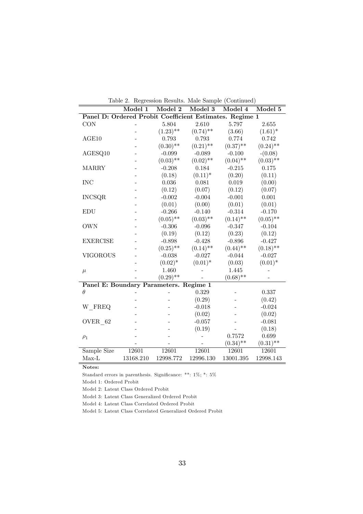| Table 2. Regression Results. Male Sample (Continued) |                                                         |             |             |             |             |  |  |  |  |
|------------------------------------------------------|---------------------------------------------------------|-------------|-------------|-------------|-------------|--|--|--|--|
| Model 2<br>Model 1<br>Model 3<br>Model 4<br>Model 5  |                                                         |             |             |             |             |  |  |  |  |
|                                                      | Panel D: Ordered Probit Coefficient Estimates. Regime 1 |             |             |             |             |  |  |  |  |
| <b>CON</b>                                           |                                                         | 5.804       | 2.610       | 5.797       | 2.655       |  |  |  |  |
|                                                      |                                                         | $(1.23)$ ** | $(0.74)$ ** | (3.66)      | $(1.61)^*$  |  |  |  |  |
| AGE10                                                |                                                         | 0.793       | 0.793       | 0.774       | 0.742       |  |  |  |  |
|                                                      |                                                         | $(0.30)$ ** | $(0.21)$ ** | $(0.37)$ ** | $(0.24)$ ** |  |  |  |  |
| AGESQ10                                              |                                                         | $-0.099$    | $-0.089$    | $-0.100$    | $-(0.08)$   |  |  |  |  |
|                                                      |                                                         | $(0.03)$ ** | $(0.02)$ ** | $(0.04)$ ** | $(0.03)$ ** |  |  |  |  |
| <b>MARRY</b>                                         |                                                         | $-0.208$    | 0.184       | $-0.215$    | 0.175       |  |  |  |  |
|                                                      |                                                         | (0.18)      | $(0.11)^*$  | (0.20)      | (0.11)      |  |  |  |  |
| <b>INC</b>                                           |                                                         | 0.036       | 0.081       | 0.019       | (0.00)      |  |  |  |  |
|                                                      |                                                         | (0.12)      | (0.07)      | (0.12)      | (0.07)      |  |  |  |  |
| <b>INCSQR</b>                                        |                                                         | $-0.002$    | $-0.004$    | $-0.001$    | 0.001       |  |  |  |  |
|                                                      |                                                         | (0.01)      | (0.00)      | (0.01)      | (0.01)      |  |  |  |  |
| <b>EDU</b>                                           |                                                         | $-0.266$    | $-0.140$    | $-0.314$    | $-0.170$    |  |  |  |  |
|                                                      |                                                         | $(0.05)$ ** | $(0.03)$ ** | $(0.14)$ ** | $(0.05)$ ** |  |  |  |  |
| <b>OWN</b>                                           |                                                         | $-0.306$    | $-0.096$    | $-0.347$    | $-0.104$    |  |  |  |  |
|                                                      |                                                         | (0.19)      | (0.12)      | (0.23)      | (0.12)      |  |  |  |  |
| <b>EXERCISE</b>                                      |                                                         | $-0.898$    | $-0.428$    | $-0.896$    | $-0.427$    |  |  |  |  |
|                                                      |                                                         | $(0.25)$ ** | $(0.14)$ ** | $(0.44)$ ** | $(0.18)$ ** |  |  |  |  |
| <b>VIGOROUS</b>                                      |                                                         | $-0.038$    | $-0.027$    | $-0.044$    | $-0.027$    |  |  |  |  |
|                                                      |                                                         | $(0.02)^*$  | $(0.01)^*$  | (0.03)      | $(0.01)^*$  |  |  |  |  |
| $\mu$                                                |                                                         | 1.460       |             | 1.445       |             |  |  |  |  |
|                                                      |                                                         | $(0.29)$ ** |             | $(0.68)$ ** |             |  |  |  |  |
| Panel E: Boundary Parameters. Regime 1               |                                                         |             |             |             |             |  |  |  |  |
| $\theta$                                             |                                                         |             | 0.329       |             | 0.337       |  |  |  |  |
|                                                      |                                                         |             | (0.29)      |             | (0.42)      |  |  |  |  |
| W FREQ                                               |                                                         |             | $-0.018$    |             | $-0.024$    |  |  |  |  |
|                                                      |                                                         |             | (0.02)      |             | (0.02)      |  |  |  |  |
| OVER 62                                              |                                                         |             | $-0.057$    |             | $-0.081$    |  |  |  |  |
|                                                      |                                                         |             | (0.19)      |             | (0.18)      |  |  |  |  |
| $\rho_1$                                             |                                                         |             |             | 0.7572      | 0.699       |  |  |  |  |
|                                                      |                                                         |             |             | $(0.34)$ ** | $(0.31)$ ** |  |  |  |  |
| Sample Size                                          | 12601                                                   | 12601       | 12601       | 12601       | 12601       |  |  |  |  |
| $Max-L$                                              | 13168.210                                               | 12998.772   | 12996.130   | 13001.395   | 12998.143   |  |  |  |  |

Notes:

Standard errors in parenthesis. Significance: \*\*:  $1\%$ ; \*:  $5\%$ 

Model 1: Ordered Probit

Model 2: Latent Class Ordered Probit

Model 3: Latent Class Generalized Ordered Probit

Model 4: Latent Class Correlated Ordered Probit

Model 5: Latent Class Correlated Generalized Ordered Probit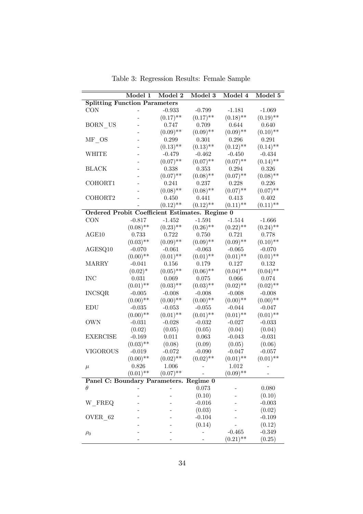|                                                       | Model 1     | Model 2     | Model 3     | Model 4     | Model 5     |
|-------------------------------------------------------|-------------|-------------|-------------|-------------|-------------|
| <b>Splitting Function Parameters</b>                  |             |             |             |             |             |
| <b>CON</b>                                            |             | $-0.933$    | $-0.799$    | $-1.181$    | $-1.069$    |
|                                                       |             | $(0.17)$ ** | $(0.17)$ ** | $(0.18)$ ** | $(0.19)$ ** |
| BORN US                                               |             | 0.747       | 0.709       | 0.644       | 0.640       |
|                                                       |             | $(0.09)$ ** | $(0.09)$ ** | $(0.09)$ ** | $(0.10)$ ** |
| $MF$ <sub>_</sub> OS                                  |             | 0.299       | 0.301       | 0.296       | $\!.291\!$  |
|                                                       |             | $(0.13)$ ** | $(0.13)$ ** | $(0.12)$ ** | $(0.14)$ ** |
| WHITE                                                 |             | $-0.479$    | $-0.462$    | $-0.450$    | $-0.434$    |
|                                                       |             | $(0.07)$ ** | $(0.07)$ ** | $(0.07)$ ** | $(0.14)$ ** |
| <b>BLACK</b>                                          |             | 0.338       | 0.353       | 0.294       | 0.326       |
|                                                       |             | $(0.07)$ ** | $(0.08)$ ** | $(0.07)$ ** | $(0.08)$ ** |
| COHORT1                                               |             | 0.241       | 0.237       | 0.228       | 0.226       |
|                                                       |             | $(0.08)$ ** | $(0.08)$ ** | $(0.07)$ ** | $(0.07)$ ** |
| COHORT2                                               |             | 0.450       | 0.441       | 0.413       | 0.402       |
|                                                       |             | $(0.12)$ ** | $(0.12)$ ** | $(0.11)$ ** | $(0.11)$ ** |
| <b>Ordered Probit Coefficient Estimates. Regime 0</b> |             |             |             |             |             |
| <b>CON</b>                                            | $-0.817$    | $-1.452$    | $-1.591$    | $-1.514$    | $-1.666$    |
|                                                       | $(0.08)$ ** | $(0.23)$ ** | $(0.26)$ ** | $(0.22)$ ** | $(0.24)$ ** |
| AGE10                                                 | 0.733       | 0.722       | 0.750       | 0.721       | 0.778       |
|                                                       | $(0.03)$ ** | $(0.09)$ ** | $(0.09)$ ** | $(0.09)$ ** | $(0.10)$ ** |
| AGESQ10                                               | $-0.070$    | $-0.061$    | $-0.063$    | $-0.065$    | $-0.070$    |
|                                                       | $(0.00)$ ** | $(0.01)$ ** | $(0.01)$ ** | $(0.01)$ ** | $(0.01)$ ** |
| <b>MARRY</b>                                          | $-0.041$    | 0.156       | 0.179       | 0.127       | $0.132\,$   |
|                                                       | $(0.02)^*$  | $(0.05)$ ** | $(0.06)$ ** | $(0.04)$ ** | $(0.04)$ ** |
| <b>INC</b>                                            | 0.031       | 0.069       | 0.075       | 0.066       | $0.074\,$   |
|                                                       | $(0.01)$ ** | $(0.03)$ ** | $(0.03)$ ** | $(0.02)$ ** | $(0.02)$ ** |
| <b>INCSQR</b>                                         | $-0.005$    | $-0.008$    | $-0.008$    | $-0.008$    | $-0.008$    |
|                                                       | $(0.00)$ ** | $(0.00)$ ** | $(0.00)$ ** | $(0.00)$ ** | $(0.00)$ ** |
| EDU                                                   | $-0.035$    | $-0.053$    | $-0.055$    | $-0.044$    | $-0.047$    |
|                                                       | $(0.00)$ ** | $(0.01)$ ** | $(0.01)$ ** | $(0.01)$ ** | $(0.01)$ ** |
| <b>OWN</b>                                            | $-0.031$    | $-0.028$    | $-0.032$    | $-0.027$    | $-0.033$    |
|                                                       | (0.02)      | (0.05)      | (0.05)      | (0.04)      | (0.04)      |
| <b>EXERCISE</b>                                       | $-0.169$    | 0.011       | 0.063       | $-0.043$    | $-0.031$    |
|                                                       | $(0.03)$ ** | (0.08)      | (0.09)      | (0.05)      | (0.06)      |
| <b>VIGOROUS</b>                                       | $-0.019$    | $-0.072$    | $-0.090$    | $-0.047$    | $-0.057$    |
|                                                       | $(0.00)$ ** | $(0.02)$ ** | $(0.02)$ ** | $(0.01)$ ** | $(0.01)$ ** |
| $\mu$                                                 | $0.826\,$   | 1.006       |             | 1.012       |             |
|                                                       | $(0.01)$ ** | $(0.07)$ ** |             | $(0.09)$ ** |             |
| Panel C: Boundary Parameters. Regime 0                |             |             |             |             |             |
| $\theta$                                              |             |             | 0.073       |             | 0.080       |
|                                                       |             |             | (0.10)      |             | (0.10)      |
| W FREQ                                                |             |             | $-0.016$    |             | $-0.003$    |
|                                                       |             |             | (0.03)      |             | (0.02)      |
| OVER 62                                               |             |             | $-0.104$    |             | $-0.109$    |
|                                                       |             |             | (0.14)      |             | (0.12)      |
| $\rho_0$                                              |             |             |             | $-0.465$    | $-0.349$    |
|                                                       |             |             |             | $(0.21)$ ** | (0.25)      |

Table 3: Regression Results: Female Sample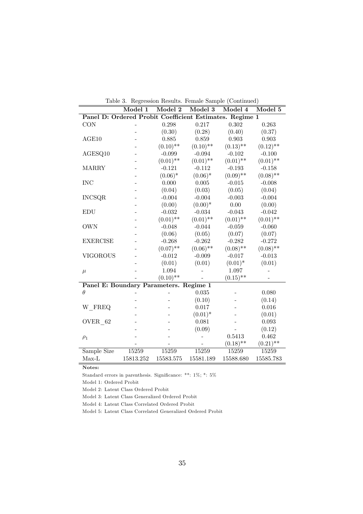| Table 3. Regression Results. Female Sample (Continued)  |                             |             |                             |                             |             |  |  |
|---------------------------------------------------------|-----------------------------|-------------|-----------------------------|-----------------------------|-------------|--|--|
|                                                         | $\overline{\text{Model 1}}$ | Model 2     | $\overline{\text{Model }3}$ | $\overline{\text{Model }4}$ | Model 5     |  |  |
| Panel D: Ordered Probit Coefficient Estimates. Regime 1 |                             |             |                             |                             |             |  |  |
| <b>CON</b>                                              |                             | 0.298       | 0.217                       | 0.302                       | 0.263       |  |  |
|                                                         |                             | (0.30)      | (0.28)                      | (0.40)                      | (0.37)      |  |  |
| AGE10                                                   |                             | 0.885       | 0.859                       | 0.903                       | 0.903       |  |  |
|                                                         |                             | $(0.10)$ ** | $(0.10)$ **                 | $(0.13)$ **                 | $(0.12)$ ** |  |  |
| AGESQ10                                                 |                             | $-0.099$    | $-0.094$                    | $-0.102$                    | $-0.100$    |  |  |
|                                                         |                             | $(0.01)$ ** | $(0.01)$ **                 | $(0.01)$ **                 | $(0.01)$ ** |  |  |
| <b>MARRY</b>                                            |                             | $-0.121$    | $-0.112$                    | $-0.193$                    | $-0.158$    |  |  |
|                                                         |                             | $(0.06)^*$  | $(0.06)^*$                  | $(0.09)$ **                 | $(0.08)$ ** |  |  |
| <b>INC</b>                                              |                             | 0.000       | 0.005                       | $-0.015$                    | $-0.008$    |  |  |
|                                                         |                             | (0.04)      | (0.03)                      | (0.05)                      | (0.04)      |  |  |
| <b>INCSQR</b>                                           |                             | $-0.004$    | $-0.004$                    | $-0.003$                    | $-0.004$    |  |  |
|                                                         |                             | (0.00)      | $(0.00)*$                   | 0.00                        | (0.00)      |  |  |
| <b>EDU</b>                                              |                             | $-0.032$    | $-0.034$                    | $-0.043$                    | $-0.042$    |  |  |
|                                                         |                             | $(0.01)$ ** | $(0.01)$ **                 | $(0.01)$ **                 | $(0.01)$ ** |  |  |
| <b>OWN</b>                                              |                             | $-0.048$    | $-0.044$                    | $-0.059$                    | $-0.060$    |  |  |
|                                                         |                             | (0.06)      | (0.05)                      | (0.07)                      | (0.07)      |  |  |
| <b>EXERCISE</b>                                         |                             | $-0.268$    | $-0.262$                    | $-0.282$                    | $-0.272$    |  |  |
|                                                         |                             | $(0.07)$ ** | $(0.06)$ **                 | $(0.08)$ **                 | $(0.08)$ ** |  |  |
| <b>VIGOROUS</b>                                         |                             | $-0.012$    | $-0.009$                    | $-0.017$                    | $-0.013$    |  |  |
|                                                         |                             | (0.01)      | (0.01)                      | $(0.01)^*$                  | (0.01)      |  |  |
| $\mu$                                                   |                             | 1.094       |                             | 1.097                       |             |  |  |
|                                                         |                             | $(0.10)$ ** |                             | $(0.15)$ **                 |             |  |  |
| Panel E: Boundary Parameters. Regime 1                  |                             |             |                             |                             |             |  |  |
| $\theta$                                                |                             |             | 0.035                       |                             | 0.080       |  |  |
|                                                         |                             |             | (0.10)                      |                             | (0.14)      |  |  |
| W_FREQ                                                  |                             |             | 0.017                       |                             | 0.016       |  |  |
|                                                         |                             |             | $(0.01)^*$                  |                             | (0.01)      |  |  |
| OVER 62                                                 |                             |             | 0.081                       |                             | 0.093       |  |  |
|                                                         |                             |             | (0.09)                      |                             | (0.12)      |  |  |
| $\rho_1$                                                |                             |             |                             | 0.5413                      | 0.462       |  |  |
|                                                         |                             |             |                             | $(0.18)$ **                 | $(0.21)$ ** |  |  |
| Sample Size                                             | 15259                       | 15259       | 15259                       | 15259                       | 15259       |  |  |
| $Max-L$                                                 | 15813.252                   | 15583.575   | 15581.189                   | 15588.680                   | 15585.783   |  |  |

Notes:

Standard errors in parenthesis. Significance: \*\*: 1%; \*: 5%

Model 1: Ordered Probit

Model 2: Latent Class Ordered Probit

Model 3: Latent Class Generalized Ordered Probit

Model 4: Latent Class Correlated Ordered Probit

Model 5: Latent Class Correlated Generalized Ordered Probit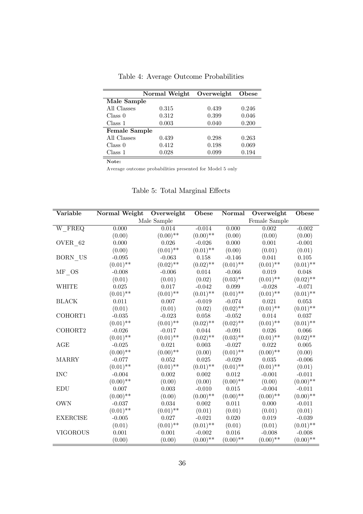|                      | Normal Weight | Overweight | Obese |
|----------------------|---------------|------------|-------|
| Male Sample          |               |            |       |
| All Classes          | 0.315         | 0.439      | 0.246 |
| Class 0              | 0.312         | 0.399      | 0.046 |
| Class 1              | 0.003         | 0.040      | 0.200 |
| <b>Female Sample</b> |               |            |       |
| All Classes          | 0.439         | 0.298      | 0.263 |
| Class 0              | 0.412         | 0.198      | 0.069 |
| Class 1              | 0.028         | 0.099      | 0.194 |

Table 4: Average Outcome Probabilities

Note:

Average outcome probabilities presented for Model 5 only

| Variable             | Normal Weight | Overweight  | Obese       | Normal      | Overweight    | Obese       |
|----------------------|---------------|-------------|-------------|-------------|---------------|-------------|
|                      |               | Male Sample |             |             | Female Sample |             |
| W_FREQ               | 0.000         | 0.014       | $-0.014$    | 0.000       | 0.002         | $-0.002$    |
|                      | (0.00)        | $(0.00)$ ** | $(0.00)$ ** | (0.00)      | (0.00)        | (0.00)      |
| $OVER_62$            | 0.000         | 0.026       | $-0.026$    | 0.000       | 0.001         | $-0.001$    |
|                      | (0.00)        | $(0.01)$ ** | $(0.01)$ ** | (0.00)      | (0.01)        | (0.01)      |
| BORN_US              | $-0.095$      | $-0.063$    | 0.158       | $-0.146$    | 0.041         | 0.105       |
|                      | $(0.01)$ **   | $(0.02)$ ** | $(0.02)$ ** | $(0.01)$ ** | $(0.01)$ **   | $(0.01)$ ** |
| $MF$ <sub>_</sub> OS | $-0.008$      | $-0.006$    | 0.014       | $-0.066$    | 0.019         | 0.048       |
|                      | (0.01)        | (0.01)      | (0.02)      | $(0.03)$ ** | $(0.01)$ **   | $(0.02)$ ** |
| WHITE                | 0.025         | 0.017       | $-0.042$    | 0.099       | $-0.028$      | $-0.071$    |
|                      | $(0.01)$ **   | $(0.01)$ ** | $(0.01)$ ** | $(0.01)$ ** | $(0.01)$ **   | $(0.01)$ ** |
| <b>BLACK</b>         | 0.011         | 0.007       | $-0.019$    | $-0.074$    | 0.021         | 0.053       |
|                      | (0.01)        | (0.01)      | (0.02)      | $(0.02)$ ** | $(0.01)$ **   | $(0.01)$ ** |
| COHORT1              | $-0.035$      | $-0.023$    | $0.058\,$   | $-0.052$    | $0.014\,$     | $0.037\,$   |
|                      | $(0.01)$ **   | $(0.01)$ ** | $(0.02)$ ** | $(0.02)$ ** | $(0.01)$ **   | $(0.01)$ ** |
| COHORT2              | $-0.026$      | $-0.017$    | 0.044       | $-0.091$    | 0.026         | 0.066       |
|                      | $(0.01)$ **   | $(0.01)$ ** | $(0.02)$ ** | $(0.03)$ ** | $(0.01)$ **   | $(0.02)$ ** |
| AGE                  | $-0.025$      | 0.021       | 0.003       | $-0.027$    | 0.022         | 0.005       |
|                      | $(0.00)$ **   | $(0.00)$ ** | (0.00)      | $(0.01)$ ** | $(0.00)$ **   | (0.00)      |
| <b>MARRY</b>         | $-0.077$      | 0.052       | 0.025       | $-0.029$    | 0.035         | $-0.006$    |
|                      | $(0.01)$ **   | $(0.01)$ ** | $(0.01)$ ** | $(0.01)$ ** | $(0.01)$ **   | (0.01)      |
| <b>INC</b>           | $-0.004$      | 0.002       | 0.002       | 0.012       | $-0.001$      | $-0.011$    |
|                      | $(0.00)$ **   | (0.00)      | (0.00)      | $(0.00)$ ** | (0.00)        | $(0.00)$ ** |
| <b>EDU</b>           | 0.007         | 0.003       | $-0.010$    | 0.015       | $-0.004$      | $-0.011$    |
|                      | $(0.00)$ **   | (0.00)      | $(0.00)$ ** | $(0.00)$ ** | $(0.00)$ **   | $(0.00)$ ** |
| <b>OWN</b>           | $-0.037$      | 0.034       | 0.002       | 0.011       | 0.000         | $-0.011$    |
|                      | $(0.01)$ **   | $(0.01)$ ** | (0.01)      | (0.01)      | (0.01)        | (0.01)      |
| <b>EXERCISE</b>      | $-0.005$      | 0.027       | $-0.021$    | 0.020       | $\,0.019\,$   | $-0.039$    |
|                      | (0.01)        | $(0.01)$ ** | $(0.01)$ ** | (0.01)      | (0.01)        | $(0.01)$ ** |
| <b>VIGOROUS</b>      | 0.001         | 0.001       | $-0.002$    | 0.016       | $-0.008$      | $-0.008$    |
|                      | (0.00)        | (0.00)      | $(0.00)$ ** | $(0.00)$ ** | $(0.00)$ **   | $(0.00)$ ** |

Table 5: Total Marginal Effects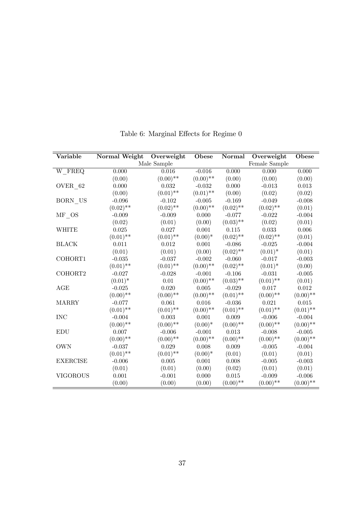| Variable             | <b>Normal Weight</b> | Overweight  | Obese       | Normal      | Overweight    | Obese       |
|----------------------|----------------------|-------------|-------------|-------------|---------------|-------------|
|                      |                      | Male Sample |             |             | Female Sample |             |
| $W$ <sub>_FREQ</sub> | 0.000                | 0.016       | $-0.016$    | 0.000       | 0.000         | 0.000       |
|                      | (0.00)               | $(0.00)$ ** | $(0.00)$ ** | (0.00)      | (0.00)        | (0.00)      |
| OVER 62              | 0.000                | 0.032       | $-0.032$    | 0.000       | $-0.013$      | 0.013       |
|                      | (0.00)               | $(0.01)$ ** | $(0.01)$ ** | (0.00)      | (0.02)        | (0.02)      |
| BORN US              | $-0.096$             | $-0.102$    | $-0.005$    | $-0.169$    | $-0.049$      | $-0.008$    |
|                      | $(0.02)$ **          | $(0.02)$ ** | $(0.00)$ ** | $(0.02)$ ** | $(0.02)$ **   | (0.01)      |
| MF OS                | $-0.009$             | $-0.009$    | 0.000       | $-0.077$    | $-0.022$      | $-0.004$    |
|                      | (0.02)               | (0.01)      | (0.00)      | $(0.03)$ ** | (0.02)        | (0.01)      |
| <b>WHITE</b>         | 0.025                | 0.027       | 0.001       | 0.115       | 0.033         | 0.006       |
|                      | $(0.01)$ **          | $(0.01)$ ** | $(0.00)*$   | $(0.02)$ ** | $(0.02)$ **   | (0.01)      |
| <b>BLACK</b>         | 0.011                | $\,0.012\,$ | $0.001\,$   | $-0.086$    | $-0.025$      | $-0.004$    |
|                      | (0.01)               | (0.01)      | (0.00)      | $(0.02)$ ** | $(0.01)^*$    | (0.01)      |
| COHORT1              | $-0.035$             | $-0.037$    | $-0.002$    | $-0.060$    | $-0.017$      | $-0.003$    |
|                      | $(0.01)$ **          | $(0.01)$ ** | $(0.00)$ ** | $(0.02)$ ** | $(0.01)^*$    | (0.00)      |
| COHORT2              | $-0.027$             | $-0.028$    | $-0.001$    | $-0.106$    | $-0.031$      | $-0.005$    |
|                      | $(0.01)^*$           | 0.01        | $(0.00)$ ** | $(0.03)$ ** | $(0.01)$ **   | (0.01)      |
| AGE                  | $-0.025$             | 0.020       | 0.005       | $-0.029$    | 0.017         | 0.012       |
|                      | $(0.00)$ **          | $(0.00)$ ** | $(0.00)$ ** | $(0.01)$ ** | $(0.00)$ **   | $(0.00)$ ** |
| <b>MARRY</b>         | $-0.077$             | 0.061       | 0.016       | $-0.036$    | 0.021         | $0.015\,$   |
|                      | $(0.01)$ **          | $(0.01)$ ** | $(0.00)$ ** | $(0.01)$ ** | $(0.01)$ **   | $(0.01)$ ** |
| <b>INC</b>           | $-0.004$             | 0.003       | 0.001       | 0.009       | $-0.006$      | $-0.004$    |
|                      | $(0.00)$ **          | $(0.00)$ ** | $(0.00)*$   | $(0.00)$ ** | $(0.00)$ **   | $(0.00)$ ** |
| <b>EDU</b>           | 0.007                | $-0.006$    | $-0.001$    | 0.013       | $-0.008$      | $-0.005$    |
|                      | $(0.00)$ **          | $(0.00)$ ** | $(0.00)$ ** | $(0.00)$ ** | $(0.00)$ **   | $(0.00)$ ** |
| <b>OWN</b>           | $-0.037$             | 0.029       | 0.008       | 0.009       | $-0.005$      | $-0.004$    |
|                      | $(0.01)$ **          | $(0.01)$ ** | $(0.00)*$   | (0.01)      | (0.01)        | (0.01)      |
| <b>EXERCISE</b>      | $-0.006$             | 0.005       | 0.001       | 0.008       | $-0.005$      | $-0.003$    |
|                      | (0.01)               | (0.01)      | (0.00)      | (0.02)      | (0.01)        | (0.01)      |
| <b>VIGOROUS</b>      | 0.001                | $-0.001$    | 0.000       | 0.015       | $-0.009$      | $-0.006$    |
|                      | (0.00)               | (0.00)      | (0.00)      | $(0.00)$ ** | $(0.00)$ **   | $(0.00)$ ** |

Table 6: Marginal Effects for Regime  $0$